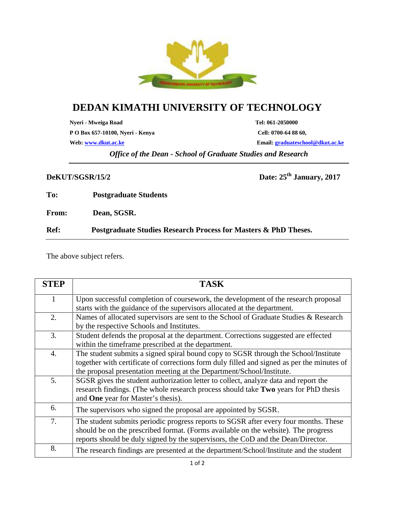

## **DEDAN KIMATHI UNIVERSITY OF TECHNOLOGY**

**Nyeri - Mweiga Road Tel: 061-2050000**

**P O Box 657-10100, Nyeri - Kenya Cell: 0700-64 88 60,**

**Web: www.dkut.ac.ke Email: graduateschool@dkut.ac.ke**

*Office of the Dean - School of Graduate Studies and Research*

**DeKUT/SGSR/15/2 Date: 25th January, 2017**

**To: Postgraduate Students**

**From: Dean, SGSR.**

**Ref: Postgraduate Studies Research Process for Masters & PhD Theses.**

The above subject refers.

| <b>STEP</b>      | <b>TASK</b>                                                                                                                                                                                                                                                    |
|------------------|----------------------------------------------------------------------------------------------------------------------------------------------------------------------------------------------------------------------------------------------------------------|
| 1                | Upon successful completion of coursework, the development of the research proposal<br>starts with the guidance of the supervisors allocated at the department.                                                                                                 |
| 2.               | Names of allocated supervisors are sent to the School of Graduate Studies & Research<br>by the respective Schools and Institutes.                                                                                                                              |
| 3.               | Student defends the proposal at the department. Corrections suggested are effected<br>within the timeframe prescribed at the department.                                                                                                                       |
| $\overline{4}$ . | The student submits a signed spiral bound copy to SGSR through the School/Institute<br>together with certificate of corrections form duly filled and signed as per the minutes of<br>the proposal presentation meeting at the Department/School/Institute.     |
| 5.               | SGSR gives the student authorization letter to collect, analyze data and report the<br>research findings. (The whole research process should take Two years for PhD thesis<br>and One year for Master's thesis).                                               |
| 6.               | The supervisors who signed the proposal are appointed by SGSR.                                                                                                                                                                                                 |
| 7.               | The student submits periodic progress reports to SGSR after every four months. These<br>should be on the prescribed format. (Forms available on the website). The progress<br>reports should be duly signed by the supervisors, the CoD and the Dean/Director. |
| 8.               | The research findings are presented at the department/School/Institute and the student                                                                                                                                                                         |